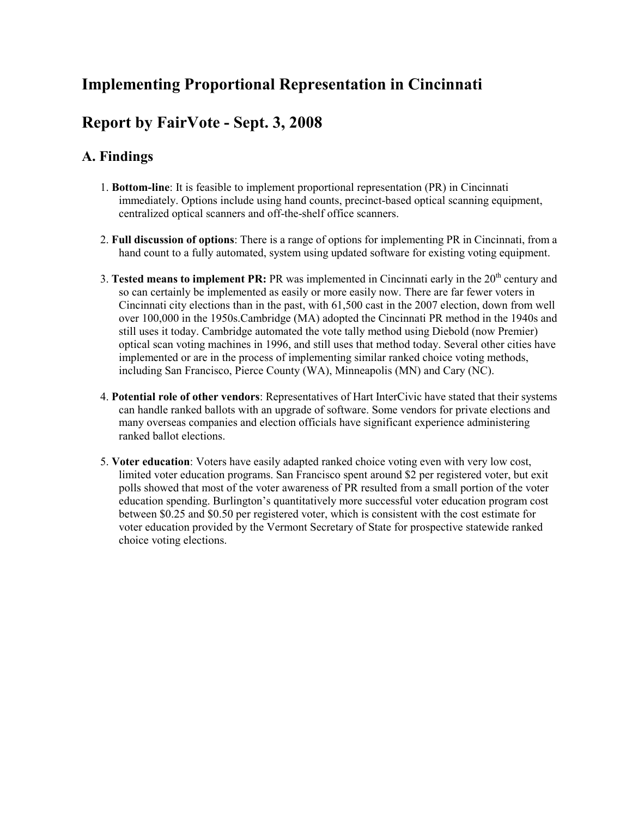# **Implementing Proportional Representation in Cincinnati**

# **Report by FairVote - Sept. 3, 2008**

# **A. Findings**

- 1. **Bottom-line**: It is feasible to implement proportional representation (PR) in Cincinnati immediately. Options include using hand counts, precinct-based optical scanning equipment, centralized optical scanners and off-the-shelf office scanners.
- 2. **Full discussion of options**: There is a range of options for implementing PR in Cincinnati, from a hand count to a fully automated, system using updated software for existing voting equipment.
- 3. **Tested means to implement PR:** PR was implemented in Cincinnati early in the 20<sup>th</sup> century and so can certainly be implemented as easily or more easily now. There are far fewer voters in Cincinnati city elections than in the past, with 61,500 cast in the 2007 election, down from well over 100,000 in the 1950s.Cambridge (MA) adopted the Cincinnati PR method in the 1940s and still uses it today. Cambridge automated the vote tally method using Diebold (now Premier) optical scan voting machines in 1996, and still uses that method today. Several other cities have implemented or are in the process of implementing similar ranked choice voting methods, including San Francisco, Pierce County (WA), Minneapolis (MN) and Cary (NC).
- 4. **Potential role of other vendors**: Representatives of Hart InterCivic have stated that their systems can handle ranked ballots with an upgrade of software. Some vendors for private elections and many overseas companies and election officials have significant experience administering ranked ballot elections.
- 5. **Voter education**: Voters have easily adapted ranked choice voting even with very low cost, limited voter education programs. San Francisco spent around \$2 per registered voter, but exit polls showed that most of the voter awareness of PR resulted from a small portion of the voter education spending. Burlington's quantitatively more successful voter education program cost between \$0.25 and \$0.50 per registered voter, which is consistent with the cost estimate for voter education provided by the Vermont Secretary of State for prospective statewide ranked choice voting elections.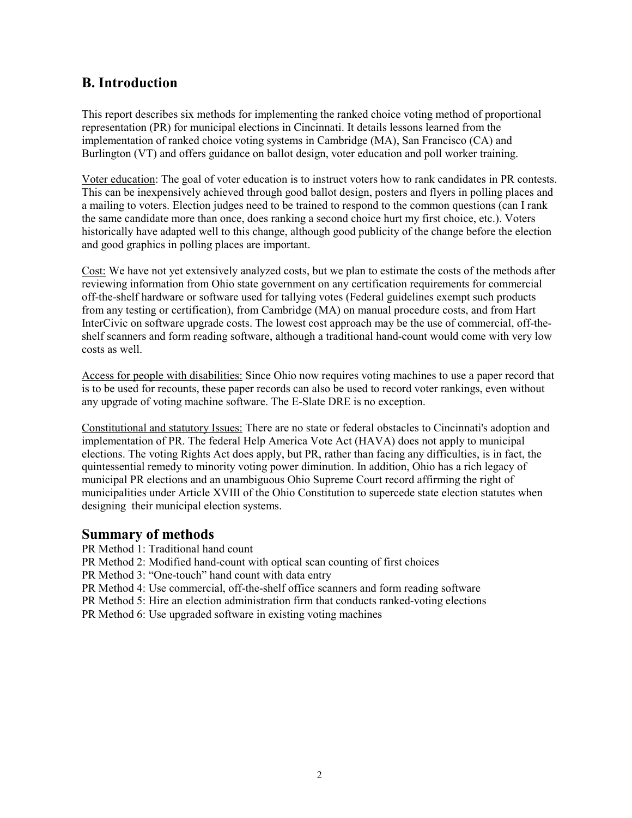## **B. Introduction**

This report describes six methods for implementing the ranked choice voting method of proportional representation (PR) for municipal elections in Cincinnati. It details lessons learned from the implementation of ranked choice voting systems in Cambridge (MA), San Francisco (CA) and Burlington (VT) and offers guidance on ballot design, voter education and poll worker training.

Voter education: The goal of voter education is to instruct voters how to rank candidates in PR contests. This can be inexpensively achieved through good ballot design, posters and flyers in polling places and a mailing to voters. Election judges need to be trained to respond to the common questions (can I rank the same candidate more than once, does ranking a second choice hurt my first choice, etc.). Voters historically have adapted well to this change, although good publicity of the change before the election and good graphics in polling places are important.

Cost: We have not yet extensively analyzed costs, but we plan to estimate the costs of the methods after reviewing information from Ohio state government on any certification requirements for commercial off-the-shelf hardware or software used for tallying votes (Federal guidelines exempt such products from any testing or certification), from Cambridge (MA) on manual procedure costs, and from Hart InterCivic on software upgrade costs. The lowest cost approach may be the use of commercial, off-theshelf scanners and form reading software, although a traditional hand-count would come with very low costs as well.

Access for people with disabilities: Since Ohio now requires voting machines to use a paper record that is to be used for recounts, these paper records can also be used to record voter rankings, even without any upgrade of voting machine software. The E-Slate DRE is no exception.

Constitutional and statutory Issues: There are no state or federal obstacles to Cincinnati's adoption and implementation of PR. The federal Help America Vote Act (HAVA) does not apply to municipal elections. The voting Rights Act does apply, but PR, rather than facing any difficulties, is in fact, the quintessential remedy to minority voting power diminution. In addition, Ohio has a rich legacy of municipal PR elections and an unambiguous Ohio Supreme Court record affirming the right of municipalities under Article XVIII of the Ohio Constitution to supercede state election statutes when designing their municipal election systems.

## **Summary of methods**

PR Method 1: Traditional hand count

PR Method 2: Modified hand-count with optical scan counting of first choices

PR Method 3: "One-touch" hand count with data entry

PR Method 4: Use commercial, off-the-shelf office scanners and form reading software

PR Method 5: Hire an election administration firm that conducts ranked-voting elections

PR Method 6: Use upgraded software in existing voting machines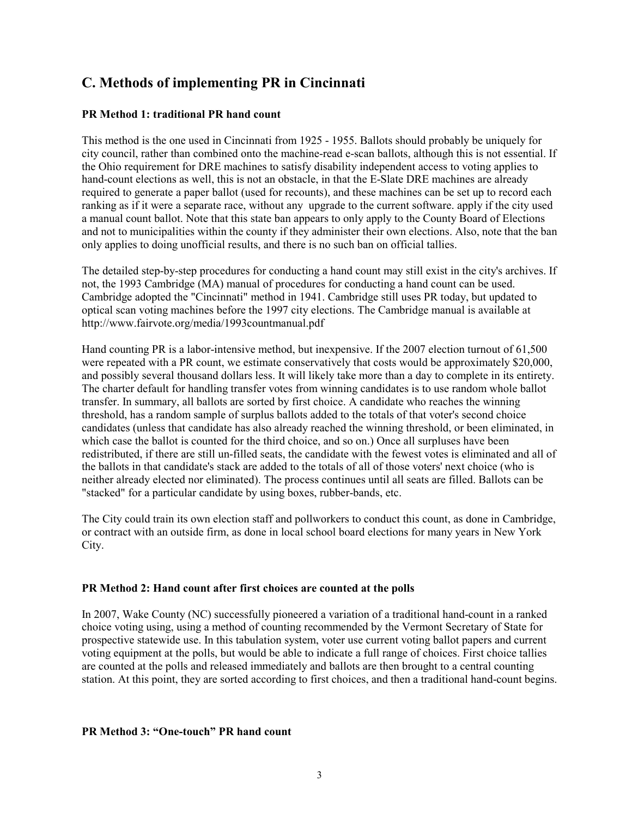# **C. Methods of implementing PR in Cincinnati**

## **PR Method 1: traditional PR hand count**

This method is the one used in Cincinnati from 1925 - 1955. Ballots should probably be uniquely for city council, rather than combined onto the machine-read e-scan ballots, although this is not essential. If the Ohio requirement for DRE machines to satisfy disability independent access to voting applies to hand-count elections as well, this is not an obstacle, in that the E-Slate DRE machines are already required to generate a paper ballot (used for recounts), and these machines can be set up to record each ranking as if it were a separate race, without any upgrade to the current software. apply if the city used a manual count ballot. Note that this state ban appears to only apply to the County Board of Elections and not to municipalities within the county if they administer their own elections. Also, note that the ban only applies to doing unofficial results, and there is no such ban on official tallies.

The detailed step-by-step procedures for conducting a hand count may still exist in the city's archives. If not, the 1993 Cambridge (MA) manual of procedures for conducting a hand count can be used. Cambridge adopted the "Cincinnati" method in 1941. Cambridge still uses PR today, but updated to optical scan voting machines before the 1997 city elections. The Cambridge manual is available at http://www.fairvote.org/media/1993countmanual.pdf

Hand counting PR is a labor-intensive method, but inexpensive. If the 2007 election turnout of 61,500 were repeated with a PR count, we estimate conservatively that costs would be approximately \$20,000, and possibly several thousand dollars less. It will likely take more than a day to complete in its entirety. The charter default for handling transfer votes from winning candidates is to use random whole ballot transfer. In summary, all ballots are sorted by first choice. A candidate who reaches the winning threshold, has a random sample of surplus ballots added to the totals of that voter's second choice candidates (unless that candidate has also already reached the winning threshold, or been eliminated, in which case the ballot is counted for the third choice, and so on.) Once all surpluses have been redistributed, if there are still un-filled seats, the candidate with the fewest votes is eliminated and all of the ballots in that candidate's stack are added to the totals of all of those voters' next choice (who is neither already elected nor eliminated). The process continues until all seats are filled. Ballots can be "stacked" for a particular candidate by using boxes, rubber-bands, etc.

The City could train its own election staff and pollworkers to conduct this count, as done in Cambridge, or contract with an outside firm, as done in local school board elections for many years in New York City.

### **PR Method 2: Hand count after first choices are counted at the polls**

In 2007, Wake County (NC) successfully pioneered a variation of a traditional hand-count in a ranked choice voting using, using a method of counting recommended by the Vermont Secretary of State for prospective statewide use. In this tabulation system, voter use current voting ballot papers and current voting equipment at the polls, but would be able to indicate a full range of choices. First choice tallies are counted at the polls and released immediately and ballots are then brought to a central counting station. At this point, they are sorted according to first choices, and then a traditional hand-count begins.

#### **PR Method 3: "One-touch" PR hand count**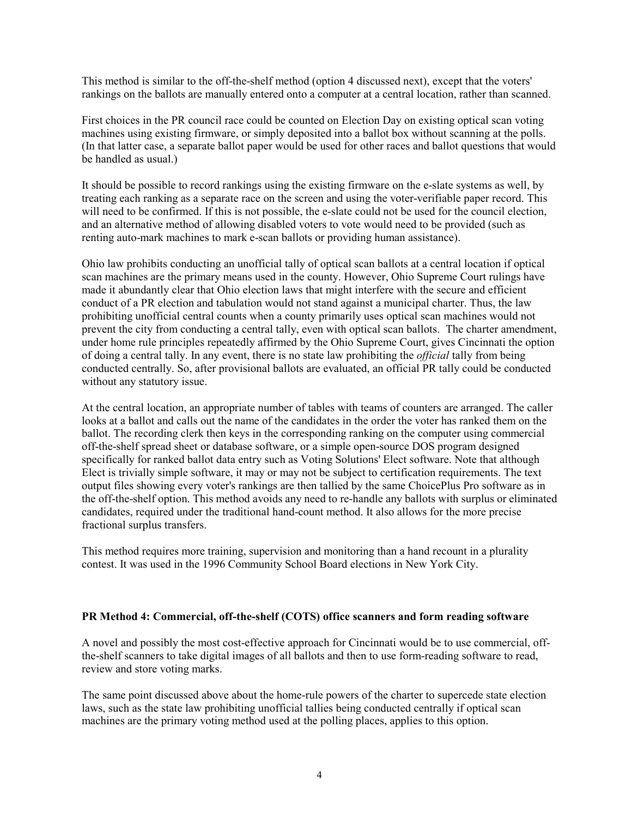This method is similar to the off-the-shelf method (option 4 discussed next), except that the voters' rankings on the ballots are manually entered onto a computer at a central location, rather than scanned.

First choices in the PR council race could be counted on Election Day on existing optical scan voting machines using existing firmware, or simply deposited into a ballot box without scanning at the polls. (In that latter case, a separate ballot paper would be used for other races and ballot questions that would be handled as usual.)

It should be possible to record rankings using the existing firmware on the e-slate systems as well, by treating each ranking as a separate race on the screen and using the voter-verifiable paper record. This will need to be confirmed. If this is not possible, the e-slate could not be used for the council election, and an alternative method of allowing disabled voters to vote would need to be provided (such as renting auto-mark machines to mark e-scan ballots or providing human assistance).

Ohio law prohibits conducting an unofficial tally of optical scan ballots at a central location if optical scan machines are the primary means used in the county. However, Ohio Supreme Court rulings have made it abundantly clear that Ohio election laws that might interfere with the secure and efficient conduct of a PR election and tabulation would not stand against a municipal charter. Thus, the law prohibiting unofficial central counts when a county primarily uses optical scan machines would not prevent the city from conducting a central tally, even with optical scan ballots. The charter amendment, under home rule principles repeatedly affirmed by the Ohio Supreme Court, gives Cincinnati the option of doing a central tally. In any event, there is no state law prohibiting the *official* tally from being conducted centrally. So, after provisional ballots are evaluated, an official PR tally could be conducted without any statutory issue.

At the central location, an appropriate number of tables with teams of counters are arranged. The caller looks at a ballot and calls out the name of the candidates in the order the voter has ranked them on the ballot. The recording clerk then keys in the corresponding ranking on the computer using commercial off-the-shelf spread sheet or database software, or a simple open-source DOS program designed specifically for ranked ballot data entry such as Voting Solutions' Elect software. Note that although Elect is trivially simple software, it may or may not be subject to certification requirements. The text output files showing every voter's rankings are then tallied by the same ChoicePlus Pro software as in the off-the-shelf option. This method avoids any need to re-handle any ballots with surplus or eliminated candidates, required under the traditional hand-count method. It also allows for the more precise fractional surplus transfers.

This method requires more training, supervision and monitoring than a hand recount in a plurality contest. It was used in the 1996 Community School Board elections in New York City.

#### **PR Method 4: Commercial, off-the-shelf (COTS) office scanners and form reading software**

A novel and possibly the most cost-effective approach for Cincinnati would be to use commercial, offthe-shelf scanners to take digital images of all ballots and then to use form-reading software to read, review and store voting marks.

The same point discussed above about the home-rule powers of the charter to supercede state election laws, such as the state law prohibiting unofficial tallies being conducted centrally if optical scan machines are the primary voting method used at the polling places, applies to this option.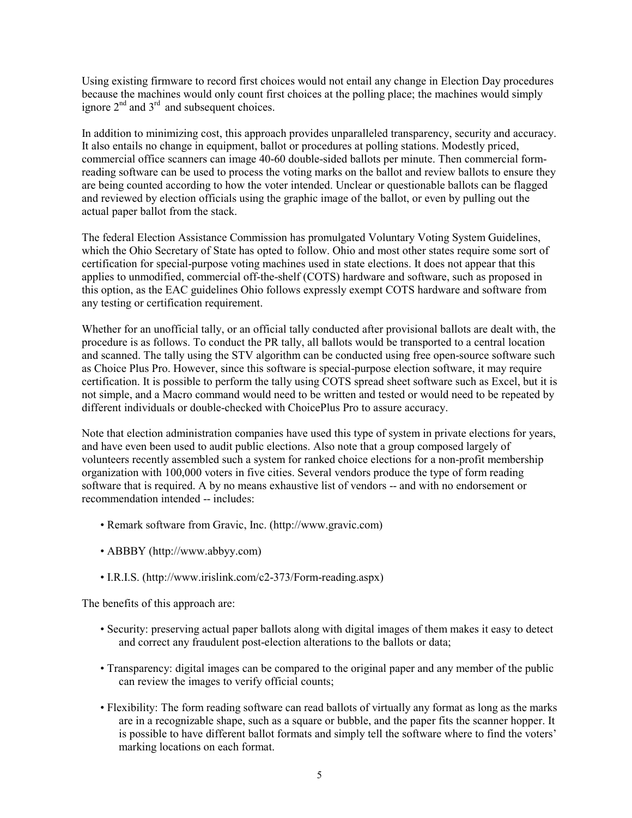Using existing firmware to record first choices would not entail any change in Election Day procedures because the machines would only count first choices at the polling place; the machines would simply ignore  $2<sup>nd</sup>$  and  $3<sup>rd</sup>$  and subsequent choices.

In addition to minimizing cost, this approach provides unparalleled transparency, security and accuracy. It also entails no change in equipment, ballot or procedures at polling stations. Modestly priced, commercial office scanners can image 40-60 double-sided ballots per minute. Then commercial formreading software can be used to process the voting marks on the ballot and review ballots to ensure they are being counted according to how the voter intended. Unclear or questionable ballots can be flagged and reviewed by election officials using the graphic image of the ballot, or even by pulling out the actual paper ballot from the stack.

The federal Election Assistance Commission has promulgated Voluntary Voting System Guidelines, which the Ohio Secretary of State has opted to follow. Ohio and most other states require some sort of certification for special-purpose voting machines used in state elections. It does not appear that this applies to unmodified, commercial off-the-shelf (COTS) hardware and software, such as proposed in this option, as the EAC guidelines Ohio follows expressly exempt COTS hardware and software from any testing or certification requirement.

Whether for an unofficial tally, or an official tally conducted after provisional ballots are dealt with, the procedure is as follows. To conduct the PR tally, all ballots would be transported to a central location and scanned. The tally using the STV algorithm can be conducted using free open-source software such as Choice Plus Pro. However, since this software is special-purpose election software, it may require certification. It is possible to perform the tally using COTS spread sheet software such as Excel, but it is not simple, and a Macro command would need to be written and tested or would need to be repeated by different individuals or double-checked with ChoicePlus Pro to assure accuracy.

Note that election administration companies have used this type of system in private elections for years, and have even been used to audit public elections. Also note that a group composed largely of volunteers recently assembled such a system for ranked choice elections for a non-profit membership organization with 100,000 voters in five cities. Several vendors produce the type of form reading software that is required. A by no means exhaustive list of vendors -- and with no endorsement or recommendation intended -- includes:

- Remark software from Gravic, Inc. (http://www.gravic.com)
- ABBBY (http://www.abbyy.com)
- I.R.I.S. (http://www.irislink.com/c2-373/Form-reading.aspx)

The benefits of this approach are:

- Security: preserving actual paper ballots along with digital images of them makes it easy to detect and correct any fraudulent post-election alterations to the ballots or data;
- Transparency: digital images can be compared to the original paper and any member of the public can review the images to verify official counts;
- Flexibility: The form reading software can read ballots of virtually any format as long as the marks are in a recognizable shape, such as a square or bubble, and the paper fits the scanner hopper. It is possible to have different ballot formats and simply tell the software where to find the voters' marking locations on each format.